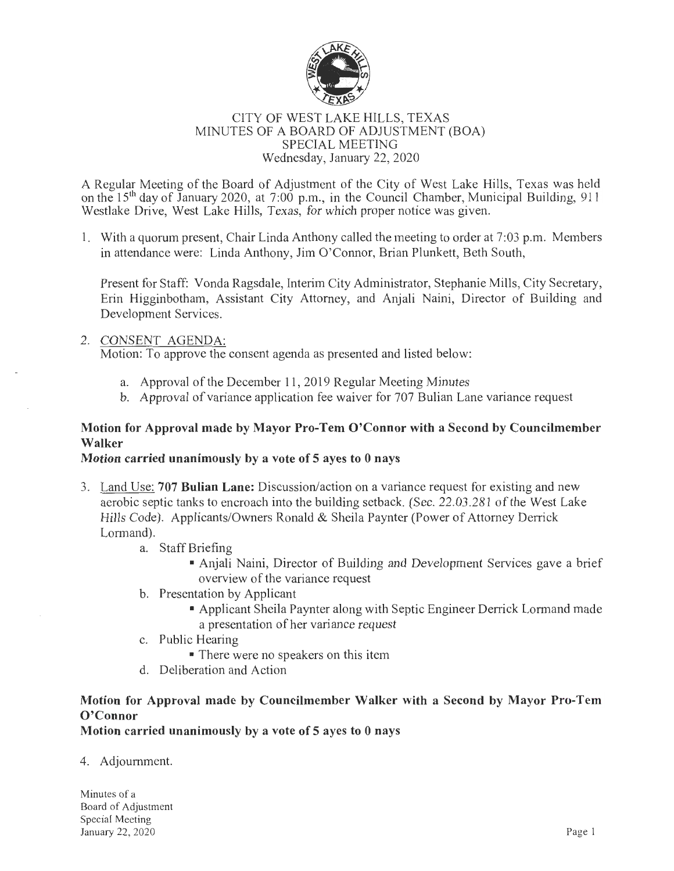

#### CITY OF WEST LAKE HILLS, TEXAS MINUTES OF A BOARD OF ADJUSTMENT (BOA) SPECIAL MEETING Wednesday, January 22, 2020

A Regular Meeting of the Board of Adjustment of the City of West Lake Hills, Texas was held on the  $15<sup>th</sup>$  day of January 2020, at 7:00 p.m., in the Council Chamber, Municipal Building, 911 Westlake Drive, West Lake Hills, Texas, for which proper notice was given.

1. With a quorum present, Chair Linda Anthony called the meeting to order at 7:03 p.m. Members in attendance were: Linda Anthony, Jim O'Connor, Brian Plunkett, Beth South,

Present for Staff: Vonda Ragsdale, Interim City Administrator, Stephanie Mills, City Secretary, Erin Higginbotham, Assistant City Attorney, and Anjali Naini, Director of Building and Development Services.

### 2. CONSENT AGENDA:

Motion: To approve the consent agenda as presented and listed below:

- a. Approval of the December 11, 2019 Regular Meeting Minutes
- b. Approval of variance application fee waiver for 707 Bulian Lane variance request

## Motion for Approval made by Mayor Pro-Tern O'Connor with a Second by Councilmember Walker

#### Motion carried unanimously by a vote of 5 ayes to 0 nays

- 3. Land Use: 707 Bulian Lane: Discussion/action on a variance request for existing and new aerobic septic tanks to encroach into the building setback. (Sec. 22.03.281 of the West Lake Hills Code). Applicants/Owners Ronald & Sheila Paynter (Power of Attorney Derrick Lormand).
	- a. Staff Briefing
		- Anjali Naini, Director of Building and Development Services gave a brief overview of the variance request
	- b. Presentation by Applicant
		- Applicant Sheila Paynter along with Septic Engineer Derrick Lormand made a presentation of her variance request
	- c. Public Hearing

• There were no speakers on this item

d. Deliberation and Action

# Motion for Approval made by Councilmember Walker with a Second by Mayor  $Pro-Tem$ O'Connor

Motion carried unanimously by a vote of 5 ayes to 0 nays

4. Adjournment.

Minutes of a Board of Adjustment Special Meeting January 22, 2020 Page I